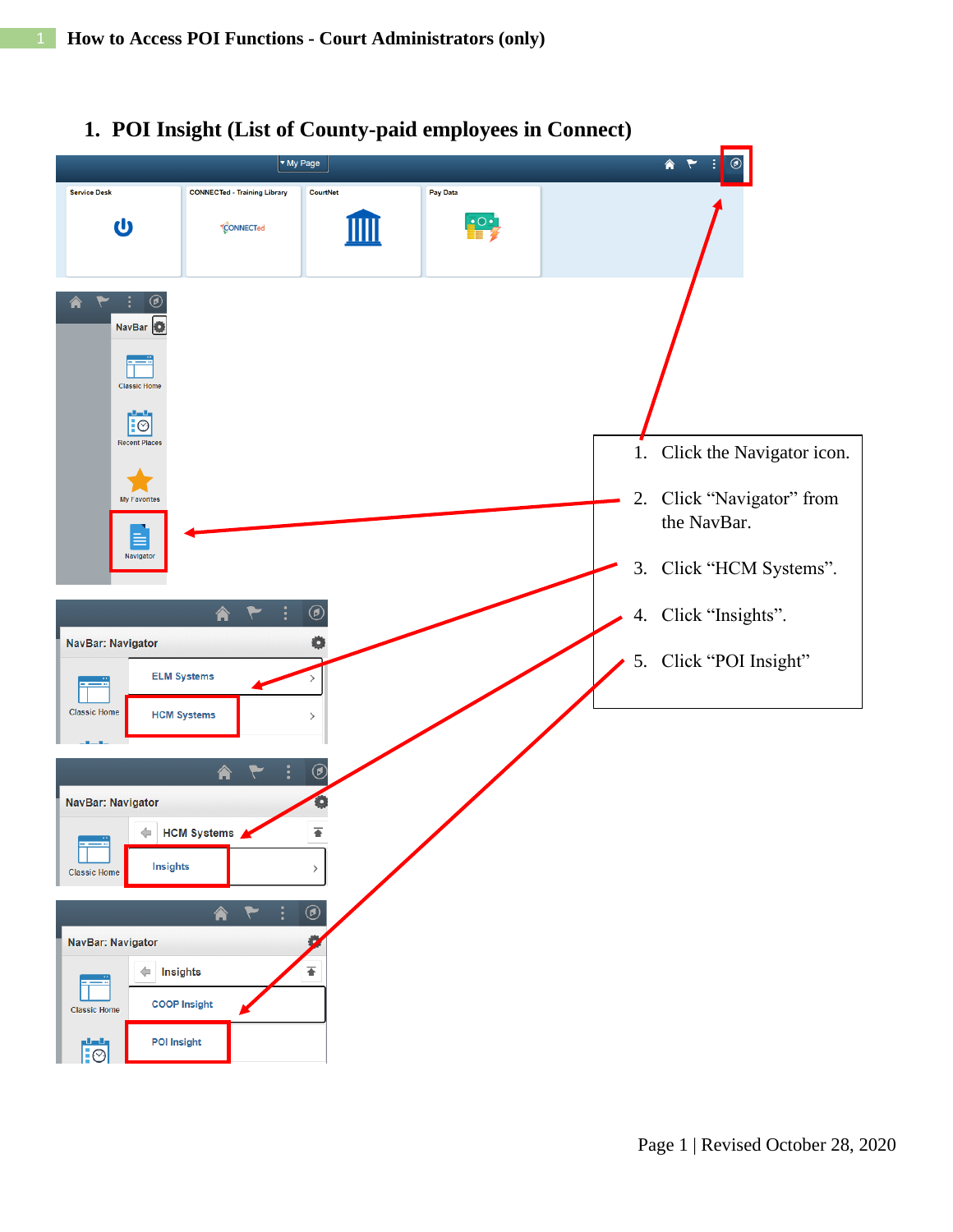

## **1. POI Insight (List of County-paid employees in Connect)**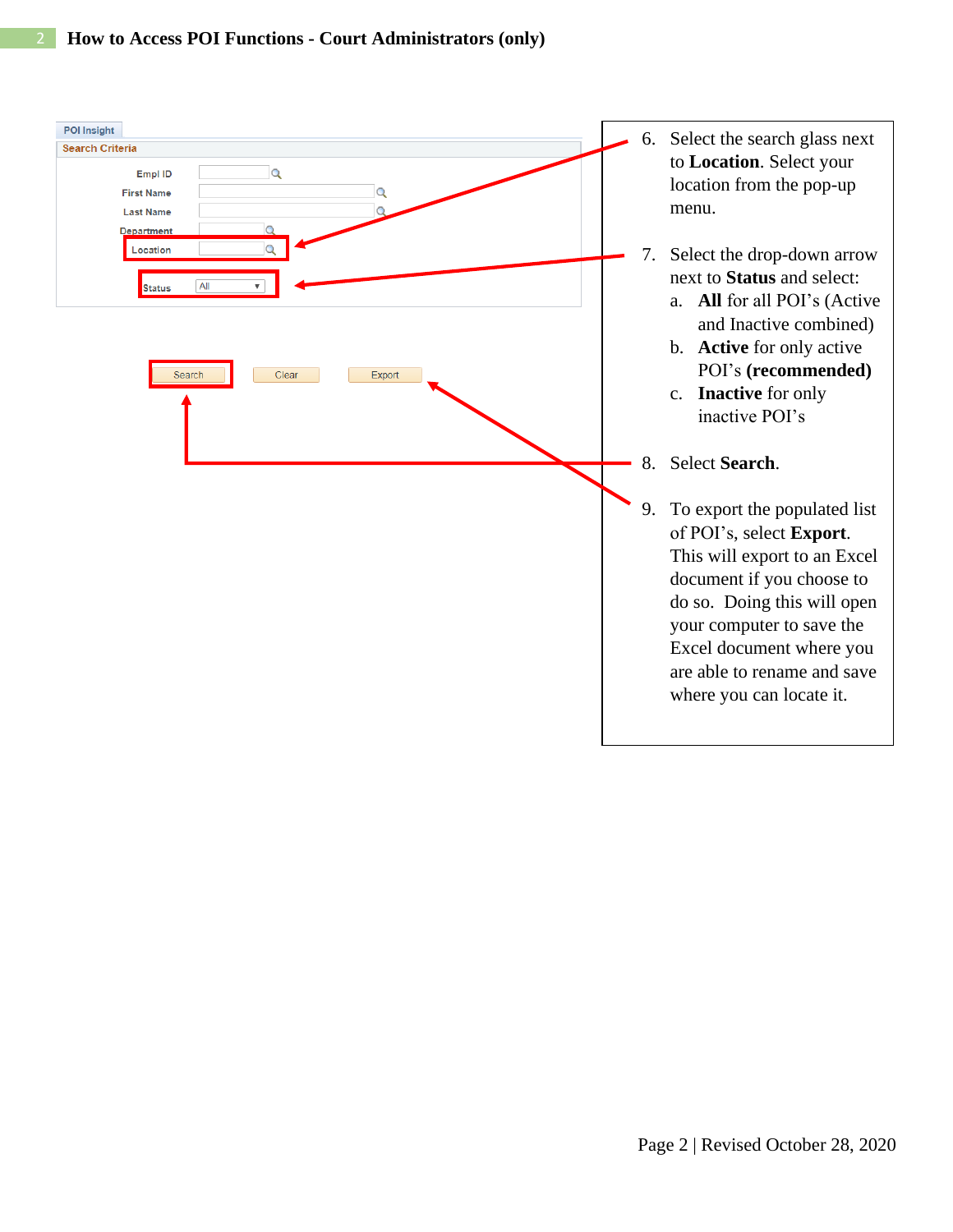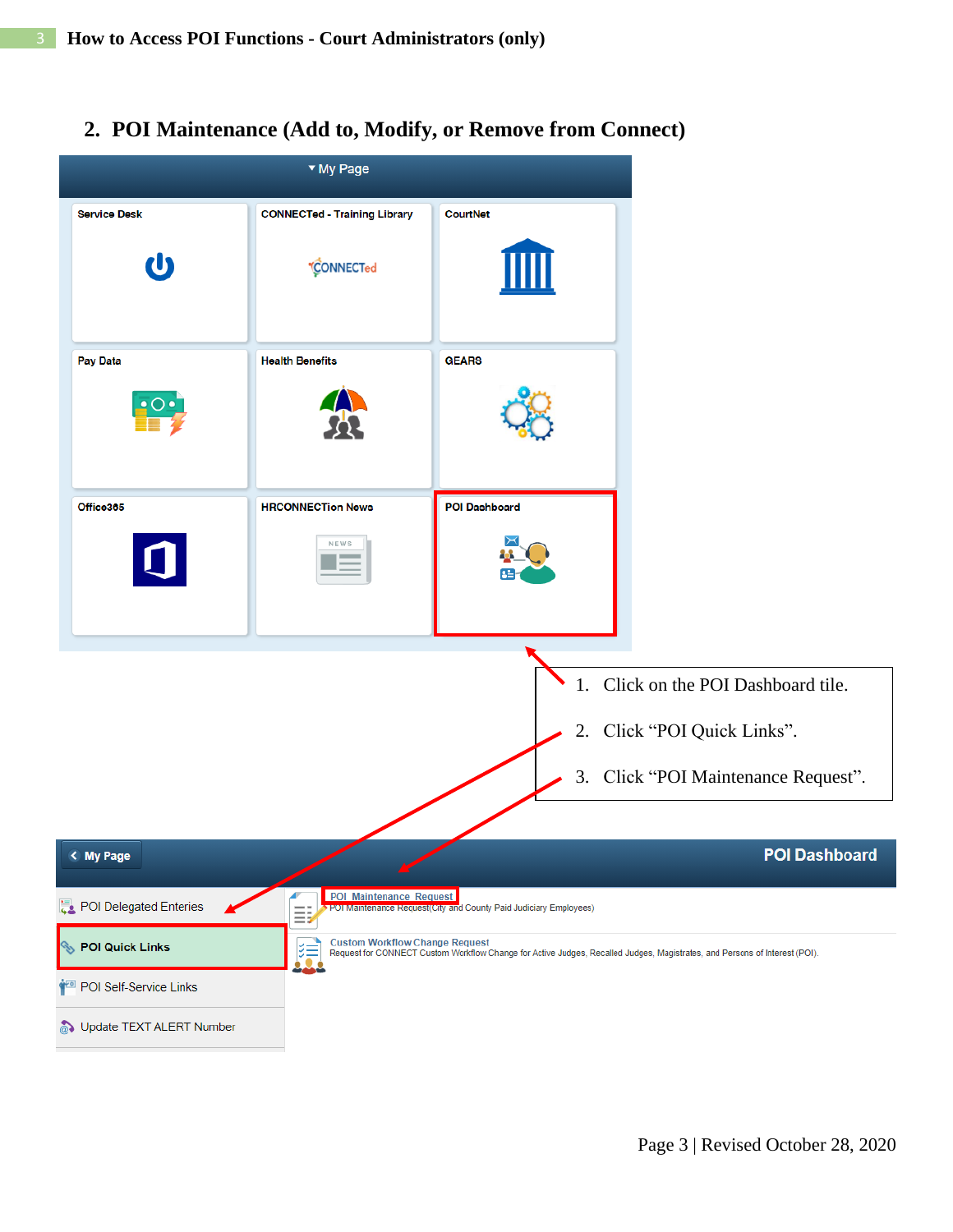**2. POI Maintenance (Add to, Modify, or Remove from Connect)**

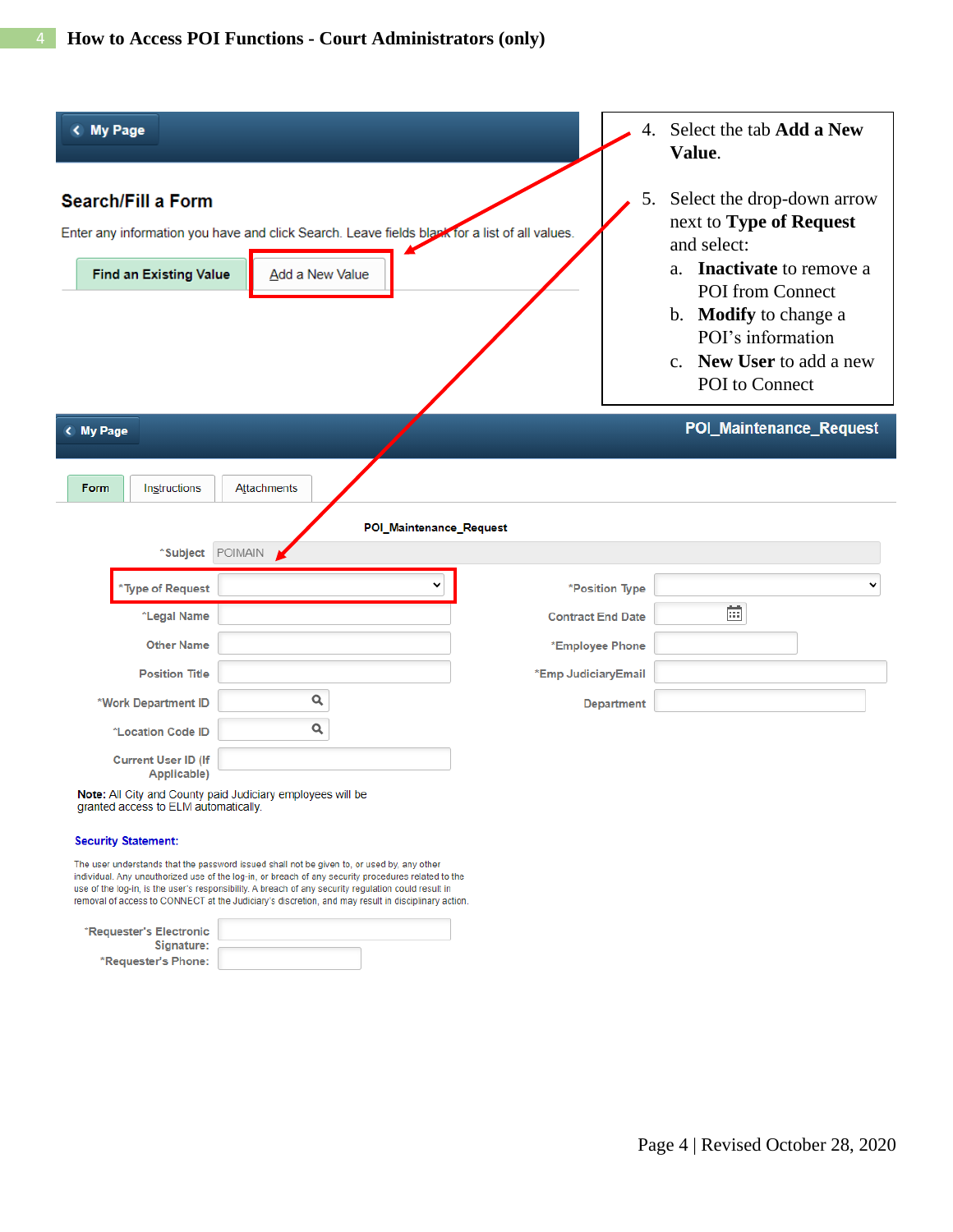| < My Page                                                      |                                 |                                                                                               | 4.                       | Select the tab Add a New<br>Value.                                                                                                                                                                                              |
|----------------------------------------------------------------|---------------------------------|-----------------------------------------------------------------------------------------------|--------------------------|---------------------------------------------------------------------------------------------------------------------------------------------------------------------------------------------------------------------------------|
| <b>Search/Fill a Form</b><br><b>Find an Existing Value</b>     | Add a New Value                 | Enter any information you have and click Search. Leave fields black for a list of all values. | 5.                       | Select the drop-down arrow<br>next to Type of Request<br>and select:<br>a. <b>Inactivate</b> to remove a<br><b>POI</b> from Connect<br>b. Modify to change a<br>POI's information<br>c. New User to add a new<br>POI to Connect |
| < My Page                                                      |                                 |                                                                                               |                          | <b>POI_Maintenance_Request</b>                                                                                                                                                                                                  |
| Form<br>Instructions                                           | Attachments                     |                                                                                               |                          |                                                                                                                                                                                                                                 |
|                                                                |                                 | POI_Maintenance_Request                                                                       |                          |                                                                                                                                                                                                                                 |
| *Subject POIMAIN                                               |                                 |                                                                                               |                          |                                                                                                                                                                                                                                 |
| *Type of Request                                               |                                 |                                                                                               | *Position Type           |                                                                                                                                                                                                                                 |
| *Legal Name                                                    |                                 |                                                                                               | <b>Contract End Date</b> | 前                                                                                                                                                                                                                               |
| <b>Other Name</b>                                              |                                 |                                                                                               | *Employee Phone          |                                                                                                                                                                                                                                 |
| <b>Position Title</b>                                          |                                 | *Emp JudiciaryEmail                                                                           |                          |                                                                                                                                                                                                                                 |
| *Work Department ID                                            | Q                               |                                                                                               | <b>Department</b>        |                                                                                                                                                                                                                                 |
| *Location Code ID                                              | $\alpha$                        |                                                                                               |                          |                                                                                                                                                                                                                                 |
| <b>Current User ID (If</b><br>Applicable)<br>ALL COL<br>$\sim$ | the contract of the contract of |                                                                                               |                          |                                                                                                                                                                                                                                 |

Note: All City and County paid Judiciary employees will be granted access to ELM automatically.

#### **Security Statement:**

The user understands that the password issued shall not be given to, or used by, any other individual. Any unauthorized use of the log-in, or breach of any security procedures related to the use of the log-in, is the user's responsibility. A breach of any security regulation could result in removal of access to CONNECT at the Judiciary's discretion, and may result in disciplinary action.

| *Requester's Electronic |  |
|-------------------------|--|
| Signature:              |  |
| *Requester's Phone:     |  |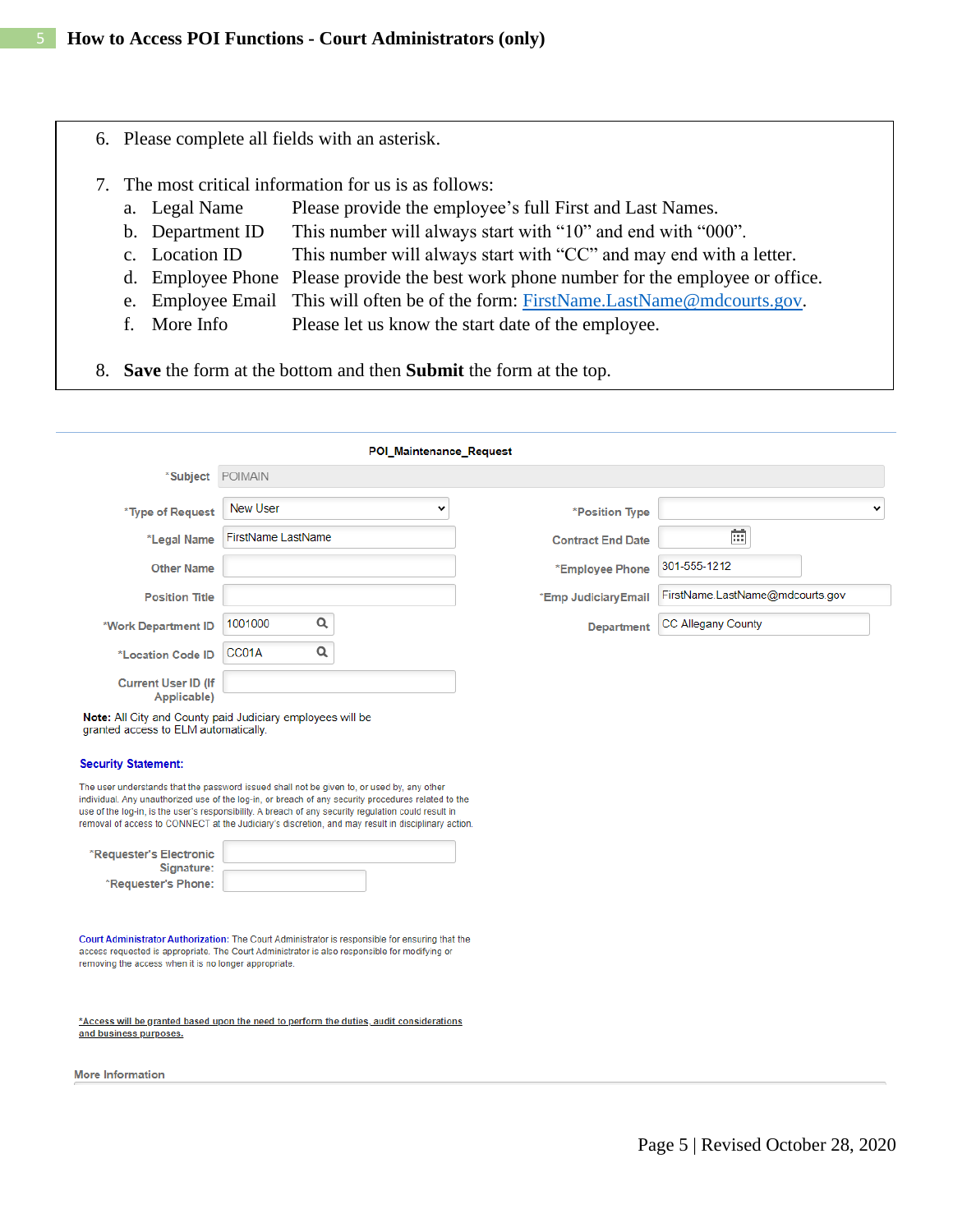- 6. Please complete all fields with an asterisk.
- 7. The most critical information for us is as follows:
	- a. Legal Name Please provide the employee's full First and Last Names.
	- b. Department ID This number will always start with "10" and end with "000".
	- c. Location ID This number will always start with "CC" and may end with a letter.
	- d. Employee Phone Please provide the best work phone number for the employee or office.
	- e. Employee Email This will often be of the form: [FirstName.LastName@mdcourts.gov.](mailto:FirstName.LastName@mdcourts.gov)
	- f. More Info Please let us know the start date of the employee.
- 8. **Save** the form at the bottom and then **Submit** the form at the top.

|                                                                                                                                                                                                                                                                                                                                                                                                                                                                                        |                    | POI_Maintenance_Request |                          |                                 |
|----------------------------------------------------------------------------------------------------------------------------------------------------------------------------------------------------------------------------------------------------------------------------------------------------------------------------------------------------------------------------------------------------------------------------------------------------------------------------------------|--------------------|-------------------------|--------------------------|---------------------------------|
| *Subject                                                                                                                                                                                                                                                                                                                                                                                                                                                                               | POIMAIN            |                         |                          |                                 |
| *Type of Request                                                                                                                                                                                                                                                                                                                                                                                                                                                                       | <b>New User</b>    | v                       | *Position Type           |                                 |
| *Legal Name                                                                                                                                                                                                                                                                                                                                                                                                                                                                            | FirstName LastName |                         | <b>Contract End Date</b> | 前                               |
| <b>Other Name</b>                                                                                                                                                                                                                                                                                                                                                                                                                                                                      |                    |                         | *Employee Phone          | 301-555-1212                    |
| <b>Position Title</b>                                                                                                                                                                                                                                                                                                                                                                                                                                                                  |                    |                         | *Emp JudiciaryEmail      | FirstName.LastName@mdcourts.gov |
| *Work Department ID                                                                                                                                                                                                                                                                                                                                                                                                                                                                    | Q<br>1001000       |                         | <b>Department</b>        | <b>CC Allegany County</b>       |
| *Location Code ID                                                                                                                                                                                                                                                                                                                                                                                                                                                                      | Q<br>CC01A         |                         |                          |                                 |
| <b>Current User ID (If</b><br>Applicable)                                                                                                                                                                                                                                                                                                                                                                                                                                              |                    |                         |                          |                                 |
| granted access to ELM automatically.                                                                                                                                                                                                                                                                                                                                                                                                                                                   |                    |                         |                          |                                 |
|                                                                                                                                                                                                                                                                                                                                                                                                                                                                                        |                    |                         |                          |                                 |
| <b>Security Statement:</b><br>The user understands that the password issued shall not be given to, or used by, any other<br>individual. Any unauthorized use of the log-in, or breach of any security procedures related to the<br>use of the log-in, is the user's responsibility. A breach of any security regulation could result in<br>removal of access to CONNECT at the Judiciary's discretion, and may result in disciplinary action.<br>*Requester's Electronic<br>Signature: |                    |                         |                          |                                 |
| *Requester's Phone:<br>Court Administrator Authorization: The Court Administrator is responsible for ensuring that the<br>access requested is appropriate. The Court Administrator is also responsible for modifying or<br>removing the access when it is no longer appropriate.                                                                                                                                                                                                       |                    |                         |                          |                                 |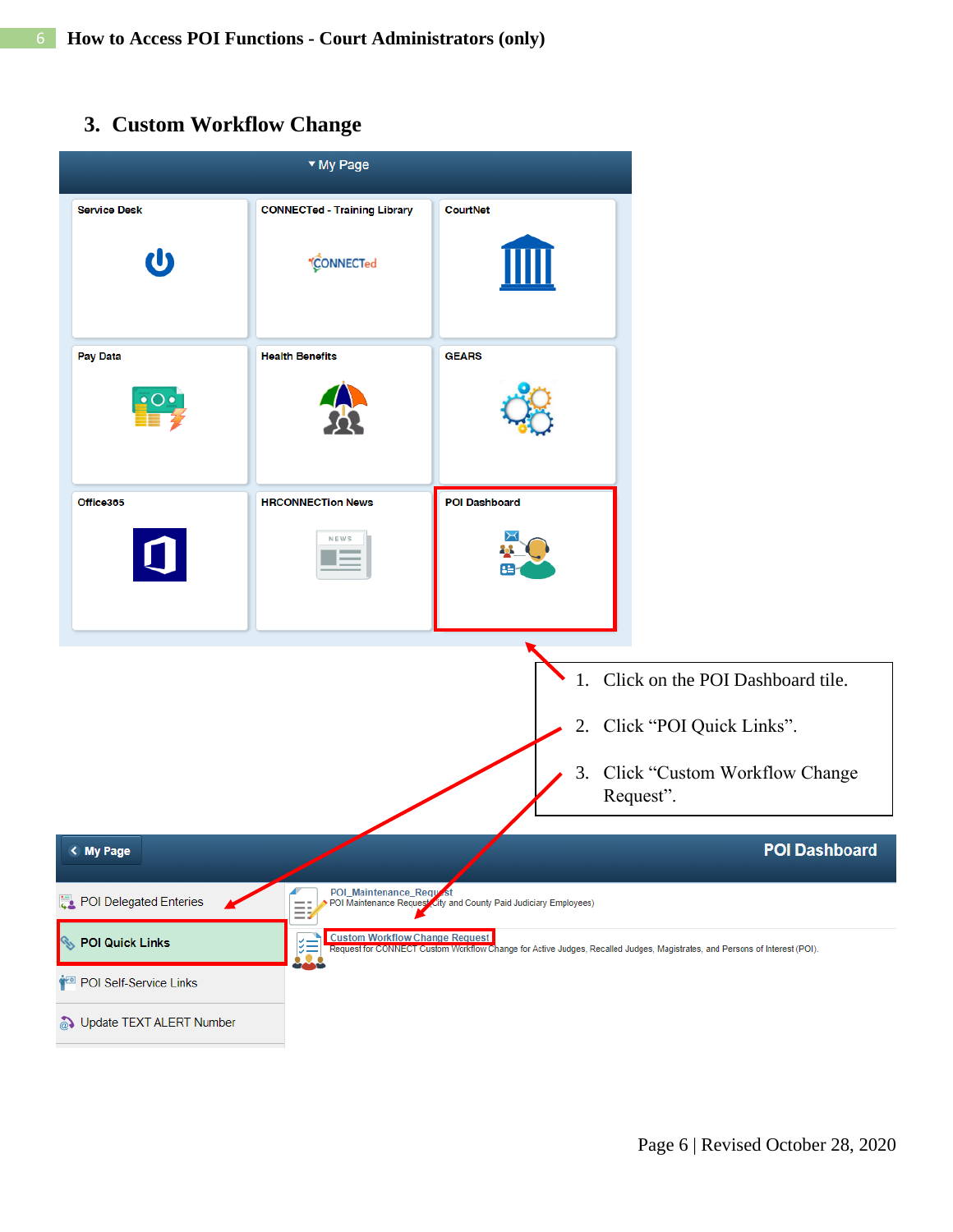# **3. Custom Workflow Change**

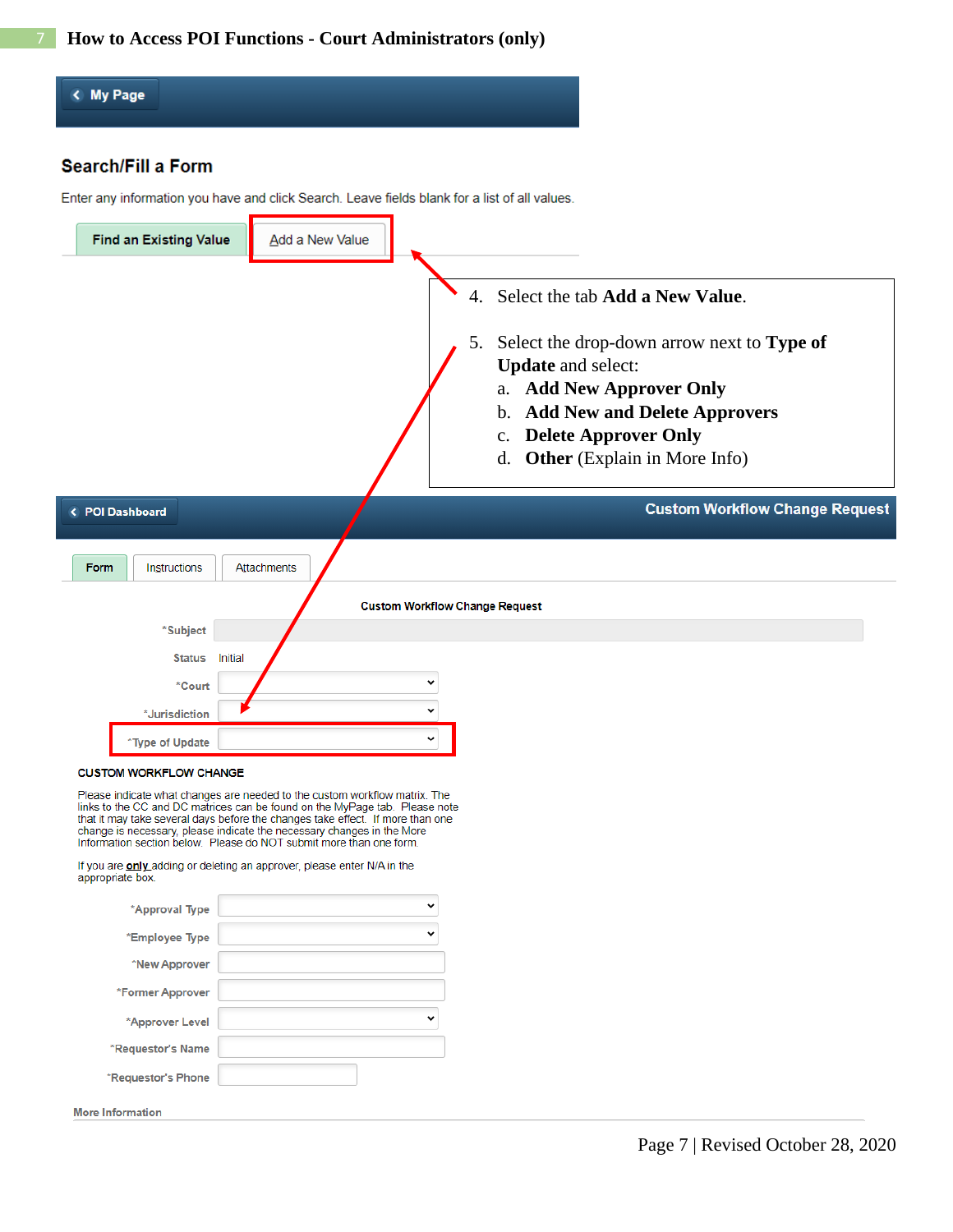## < My Page

## **Search/Fill a Form**

Enter any information you have and click Search. Leave fields blank for a list of all values.

| <b>Find an Existing Value</b> | Add a New Value |                                                                                                                                                                                                                                                                                                      |
|-------------------------------|-----------------|------------------------------------------------------------------------------------------------------------------------------------------------------------------------------------------------------------------------------------------------------------------------------------------------------|
|                               |                 | 4. Select the tab Add a New Value.<br>Select the drop-down arrow next to Type of<br>5.<br><b>Update</b> and select:<br><b>Add New Approver Only</b><br>a.<br><b>Add New and Delete Approvers</b><br>b.<br><b>Delete Approver Only</b><br>$\mathbf{C}$ .<br><b>Other</b> (Explain in More Info)<br>d. |
|                               |                 |                                                                                                                                                                                                                                                                                                      |
| < POI Dashboard               |                 |                                                                                                                                                                                                                                                                                                      |
| Instructions<br>Form          | Attachments     | <b>Custom Workflow Change Request</b>                                                                                                                                                                                                                                                                |
|                               |                 | <b>Custom Workflow Change Request</b>                                                                                                                                                                                                                                                                |
| *Subject                      |                 |                                                                                                                                                                                                                                                                                                      |
| Initial<br><b>Status</b>      |                 |                                                                                                                                                                                                                                                                                                      |
| *Court                        |                 |                                                                                                                                                                                                                                                                                                      |
| *Jurisdiction                 |                 | $\checkmark$                                                                                                                                                                                                                                                                                         |
| *Type of Update               |                 |                                                                                                                                                                                                                                                                                                      |

Please indicate what changes are needed to the custom workflow matrix. The links to the CC and DC matrices can be found on the MyPage tab. Please note that it may take several days before the changes take effect. If more t

If you are **only** adding or deleting an approver, please enter N/A in the appropriate box.